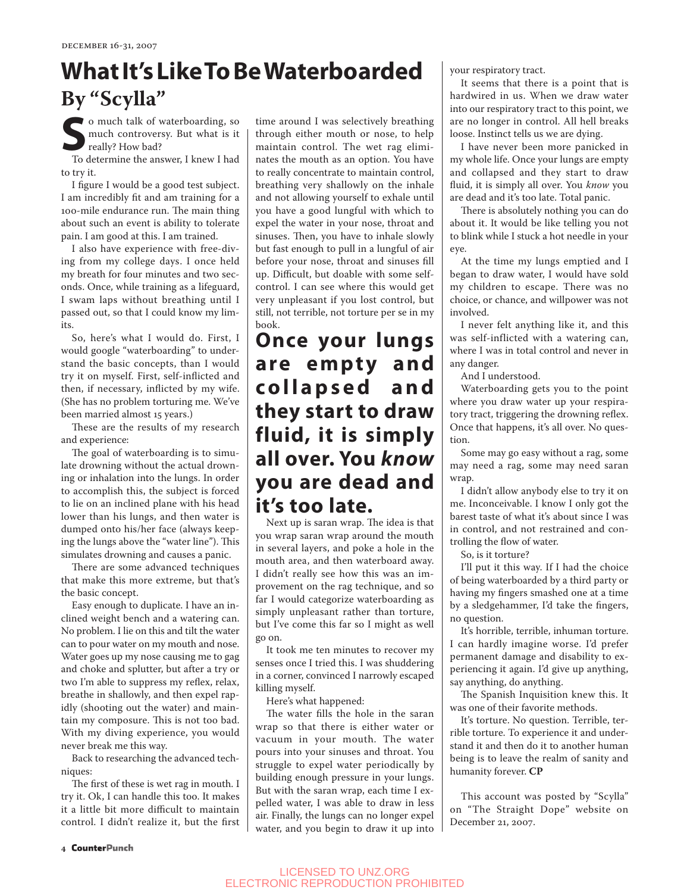# **What It's Like To Be Waterboarded By "Scylla"**

**S**o much talk of waterboarding, so much controversy. But what is it really? How bad?

To determine the answer, I knew I had to try it.

I figure I would be a good test subject. I am incredibly fit and am training for a 100-mile endurance run. The main thing about such an event is ability to tolerate pain. I am good at this. I am trained.

I also have experience with free-diving from my college days. I once held my breath for four minutes and two seconds. Once, while training as a lifeguard, I swam laps without breathing until I passed out, so that I could know my limits.

So, here's what I would do. First, I would google "waterboarding" to understand the basic concepts, than I would try it on myself. First, self-inflicted and then, if necessary, inflicted by my wife. (She has no problem torturing me. We've been married almost 15 years.)

These are the results of my research and experience:

The goal of waterboarding is to simulate drowning without the actual drowning or inhalation into the lungs. In order to accomplish this, the subject is forced to lie on an inclined plane with his head lower than his lungs, and then water is dumped onto his/her face (always keeping the lungs above the "water line"). This simulates drowning and causes a panic.

There are some advanced techniques that make this more extreme, but that's the basic concept.

Easy enough to duplicate. I have an inclined weight bench and a watering can. No problem. I lie on this and tilt the water can to pour water on my mouth and nose. Water goes up my nose causing me to gag and choke and splutter, but after a try or two I'm able to suppress my reflex, relax, breathe in shallowly, and then expel rapidly (shooting out the water) and maintain my composure. This is not too bad. With my diving experience, you would never break me this way.

Back to researching the advanced techniques:

The first of these is wet rag in mouth. I try it. Ok, I can handle this too. It makes it a little bit more difficult to maintain control. I didn't realize it, but the first time around I was selectively breathing through either mouth or nose, to help maintain control. The wet rag eliminates the mouth as an option. You have to really concentrate to maintain control, breathing very shallowly on the inhale and not allowing yourself to exhale until you have a good lungful with which to expel the water in your nose, throat and sinuses. Then, you have to inhale slowly but fast enough to pull in a lungful of air before your nose, throat and sinuses fill up. Difficult, but doable with some selfcontrol. I can see where this would get very unpleasant if you lost control, but still, not terrible, not torture per se in my book.

## **Once your lungs**  are empty and **c o l l a p s e d a n d they start to draw fluid, it is simply all over. You** *know* **you are dead and it's too late.**

Next up is saran wrap. The idea is that you wrap saran wrap around the mouth in several layers, and poke a hole in the mouth area, and then waterboard away. I didn't really see how this was an improvement on the rag technique, and so far I would categorize waterboarding as simply unpleasant rather than torture, but I've come this far so I might as well go on.

It took me ten minutes to recover my senses once I tried this. I was shuddering in a corner, convinced I narrowly escaped killing myself.

Here's what happened:

The water fills the hole in the saran wrap so that there is either water or vacuum in your mouth. The water pours into your sinuses and throat. You struggle to expel water periodically by building enough pressure in your lungs. But with the saran wrap, each time I expelled water, I was able to draw in less air. Finally, the lungs can no longer expel water, and you begin to draw it up into your respiratory tract.

It seems that there is a point that is hardwired in us. When we draw water into our respiratory tract to this point, we are no longer in control. All hell breaks loose. Instinct tells us we are dying.

I have never been more panicked in my whole life. Once your lungs are empty and collapsed and they start to draw fluid, it is simply all over. You *know* you are dead and it's too late. Total panic.

There is absolutely nothing you can do about it. It would be like telling you not to blink while I stuck a hot needle in your eye.

At the time my lungs emptied and I began to draw water, I would have sold my children to escape. There was no choice, or chance, and willpower was not involved.

I never felt anything like it, and this was self-inflicted with a watering can, where I was in total control and never in any danger.

And I understood.

Waterboarding gets you to the point where you draw water up your respiratory tract, triggering the drowning reflex. Once that happens, it's all over. No question.

Some may go easy without a rag, some may need a rag, some may need saran wrap.

I didn't allow anybody else to try it on me. Inconceivable. I know I only got the barest taste of what it's about since I was in control, and not restrained and controlling the flow of water.

So, is it torture?

I'll put it this way. If I had the choice of being waterboarded by a third party or having my fingers smashed one at a time by a sledgehammer, I'd take the fingers, no question.

It's horrible, terrible, inhuman torture. I can hardly imagine worse. I'd prefer permanent damage and disability to experiencing it again. I'd give up anything, say anything, do anything.

The Spanish Inquisition knew this. It was one of their favorite methods.

It's torture. No question. Terrible, terrible torture. To experience it and understand it and then do it to another human being is to leave the realm of sanity and humanity forever. **CP**

This account was posted by "Scylla" on "The Straight Dope" website on December 21, 2007.

### LICENSED TO UNZ.ORG ELECTRONIC REPRODUCTION PROHIBITED